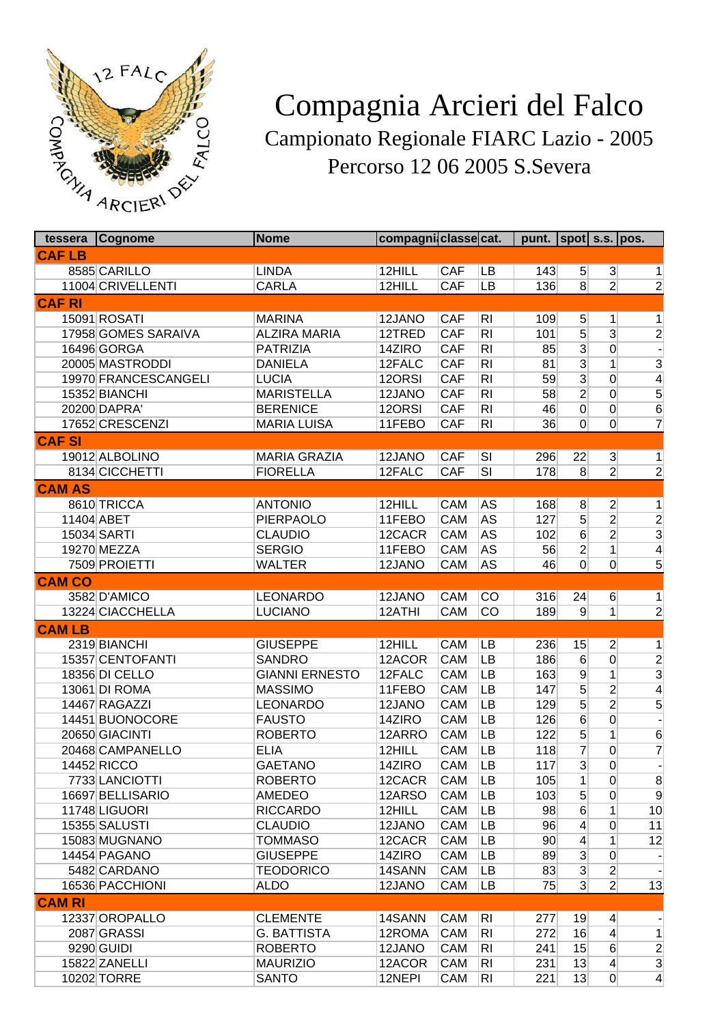

## Compagnia Arcieri del Falco Campionato Regionale FIARC Lazio - 2005 Percorso 12 06 2005 S.Severa

| tessera       | Cognome                       | <b>Nome</b>           | compagni classe cat. |            |                 | punt. $ spot $ s.s. $ pos$ . |                                   |                                  |                     |
|---------------|-------------------------------|-----------------------|----------------------|------------|-----------------|------------------------------|-----------------------------------|----------------------------------|---------------------|
| <b>CAFLB</b>  |                               |                       |                      |            |                 |                              |                                   |                                  |                     |
|               | 8585 CARILLO                  | <b>LINDA</b>          | 12HILL               | <b>CAF</b> | LB              | 143                          | 5 <sup>2</sup>                    | 3 <sup>2</sup>                   | 1                   |
|               | 11004 CRIVELLENTI             | <b>CARLA</b>          | 12HILL               | <b>CAF</b> | LB              | 136                          | $\overline{8}$                    | $\overline{2}$                   | $\overline{2}$      |
| <b>CAF RI</b> |                               |                       |                      |            |                 |                              |                                   |                                  |                     |
|               | 15091 ROSATI                  | <b>MARINA</b>         | 12JANO               | <b>CAF</b> | R <sub>l</sub>  | 109                          | 5 <sup>5</sup>                    | 1                                | 1                   |
|               | 17958 GOMES SARAIVA           | <b>ALZIRA MARIA</b>   | 12TRED               | <b>CAF</b> | R <sub>l</sub>  | 101                          | $\overline{5}$                    | $\overline{3}$                   | $\overline{2}$      |
|               | 16496 GORGA                   | <b>PATRIZIA</b>       | 14ZIRO               | <b>CAF</b> | R <sub>l</sub>  | 85                           | $\overline{3}$                    | $\overline{0}$                   |                     |
|               | 20005 MASTRODDI               | <b>DANIELA</b>        | 12FALC               | <b>CAF</b> | R <sub>l</sub>  | 81                           | $\overline{3}$                    | 1                                | $\overline{3}$      |
|               | 19970 FRANCESCANGELI          | <b>LUCIA</b>          | 12ORSI               | CAF        | RI              | 59                           | $\overline{3}$                    | 0                                | $\overline{4}$      |
|               | 15352 BIANCHI                 | <b>MARISTELLA</b>     | 12JANO               | CAF        | RI              | 58                           | $\overline{2}$                    | 0                                | $\overline{5}$      |
|               | 20200 DAPRA'                  | <b>BERENICE</b>       | 12ORSI               | CAF        | R <sub>l</sub>  | 46                           | $\overline{0}$                    | 0                                | $6\overline{6}$     |
|               | 17652 CRESCENZI               | <b>MARIA LUISA</b>    | 11FEBO               | <b>CAF</b> | R <sub>l</sub>  | 36                           | $\overline{0}$                    | 0                                | $\overline{7}$      |
| <b>CAF SI</b> |                               |                       |                      |            |                 |                              |                                   |                                  |                     |
|               | 19012 ALBOLINO                | <b>MARIA GRAZIA</b>   | 12JANO               | <b>CAF</b> | SI              | 296                          | 22                                | $\overline{3}$                   | 1                   |
|               | 8134 CICCHETTI                | <b>FIORELLA</b>       | 12FALC               | <b>CAF</b> | SI              | 178                          | $\overline{8}$                    | $\overline{2}$                   | $\overline{2}$      |
| <b>CAM AS</b> |                               |                       |                      |            |                 |                              |                                   |                                  |                     |
|               | 8610 TRICCA                   | <b>ANTONIO</b>        | 12HILL               | <b>CAM</b> | AS              | 168                          | 8                                 | $\mathbf{2}$                     | 1                   |
| 11404 ABET    |                               | <b>PIERPAOLO</b>      | 11FEBO               | <b>CAM</b> | <b>AS</b>       | 127                          | $\overline{5}$                    | $\overline{2}$                   | $\overline{2}$      |
|               | 15034 SARTI                   | <b>CLAUDIO</b>        | 12CACR               | <b>CAM</b> | AS              | 102                          | $6\overline{6}$                   | $\overline{2}$                   | $\overline{3}$      |
|               | <b>19270 MEZZA</b>            | <b>SERGIO</b>         | 11FEBO               | <b>CAM</b> | <b>AS</b>       | 56                           | $\overline{2}$                    | 1                                | $\overline{4}$      |
|               | 7509 PROIETTI                 | <b>WALTER</b>         | 12JANO               | CAM        | <b>AS</b>       | 46                           | $\overline{0}$                    | $\overline{0}$                   | $\overline{5}$      |
| <b>CAM CO</b> |                               |                       |                      |            |                 |                              |                                   |                                  |                     |
|               | 3582 D'AMICO                  | <b>LEONARDO</b>       | 12JANO               | <b>CAM</b> | CO              | 316                          |                                   |                                  |                     |
|               | 13224 CIACCHELLA              | <b>LUCIANO</b>        | 12ATHI               | <b>CAM</b> | $\overline{CO}$ | 189                          | 24<br>$\overline{9}$              | 6<br>$\mathbf{1}$                | 1<br>$\overline{2}$ |
|               |                               |                       |                      |            |                 |                              |                                   |                                  |                     |
| <b>CAM LB</b> |                               |                       |                      |            |                 |                              |                                   |                                  |                     |
|               | 2319 BIANCHI                  | <b>GIUSEPPE</b>       | 12HILL               | CAM        | LB              | 236                          | 15                                | $\overline{2}$                   | 1                   |
|               | 15357 CENTOFANTI              | <b>SANDRO</b>         | 12ACOR               | <b>CAM</b> | LB              | 186                          | 6                                 | $\overline{0}$                   | $\overline{2}$      |
|               | 18356 DI CELLO                | <b>GIANNI ERNESTO</b> | 12FALC               | CAM        | LB              | 163                          | $\overline{9}$                    | 1                                | $\frac{3}{4}$       |
|               | 13061 DI ROMA                 | <b>MASSIMO</b>        | 11FEBO               | <b>CAM</b> | LB              | 147                          | $\overline{5}$                    | $\overline{c}$                   |                     |
|               | 14467 RAGAZZI                 | <b>LEONARDO</b>       | 12JANO               | <b>CAM</b> | LB              | 129                          | $\overline{5}$                    | $\overline{2}$                   | $\overline{5}$      |
|               | 14451 BUONOCORE               | <b>FAUSTO</b>         | 14ZIRO               | <b>CAM</b> | LB              | 126                          | $6\overline{6}$                   | 0                                | $\frac{1}{2}$       |
|               | 20650 GIACINTI                | <b>ROBERTO</b>        | 12ARRO               | <b>CAM</b> | LB              | 122                          | 5                                 | 1                                | $6\phantom{.}6$     |
|               | 20468 CAMPANELLO              | <b>ELIA</b>           | 12HILL               | CAM        | LB              | 118                          | 7                                 | 0                                | $\overline{7}$      |
|               | 14452 RICCO                   | <b>GAETANO</b>        | 14ZIRO               | CAM        | LB              | 117                          | $\overline{3}$                    | 0                                |                     |
|               | 7733 LANCIOTTI                | <b>ROBERTO</b>        | 12CACR               | CAM        | LB              | 105                          | 1                                 | $\overline{0}$                   | $\boldsymbol{8}$    |
|               | 16697 BELLISARIO              | AMEDEO                | 12ARSO               | CAM        | LB              | 103                          | $5\overline{)}$                   | $\Omega$                         | $\overline{9}$      |
|               | 11748 LIGUORI                 | <b>RICCARDO</b>       | 12HILL               | <b>CAM</b> | LB              | 98                           | 6                                 | 1 <sup>1</sup>                   | 10                  |
|               | 15355 SALUSTI                 | <b>CLAUDIO</b>        | 12JANO<br>12CACR     | CAM        | LB              | 96<br>90                     | $\vert 4 \vert$                   | $\overline{0}$                   | 11                  |
|               | 15083 MUGNANO<br>14454 PAGANO | <b>TOMMASO</b>        |                      | CAM        | LB<br>LB        |                              | $\vert 4 \vert$<br>$\overline{3}$ | $\mathbf{1}$                     | 12                  |
|               |                               | <b>GIUSEPPE</b>       | 14ZIRO               | CAM        |                 | 89                           | $\overline{3}$                    | $\overline{0}$                   |                     |
|               | 5482 CARDANO                  | <b>TEODORICO</b>      | 14SANN               | CAM        | LB              | 83                           | $\overline{3}$                    | $\overline{2}$<br>$\overline{2}$ |                     |
|               | 16536 PACCHIONI               | <b>ALDO</b>           | 12JANO               | CAM        | LB              | 75                           |                                   |                                  | 13                  |
| <b>CAM RI</b> |                               |                       |                      |            |                 |                              |                                   |                                  |                     |
|               | 12337 OROPALLO                | <b>CLEMENTE</b>       | 14SANN               | <b>CAM</b> | RI              | 277                          | 19                                | $\vert 4 \vert$                  |                     |
|               | 2087 GRASSI                   | <b>G. BATTISTA</b>    | 12ROMA               | CAM        | R <sub>1</sub>  | 272                          | 16                                | $\vert 4 \vert$                  | 1                   |
|               | 9290 GUIDI                    | <b>ROBERTO</b>        | 12JANO               | CAM        | R <sub>l</sub>  | 241                          | 15                                | 6                                | $\overline{2}$      |
|               | 15822 ZANELLI                 | <b>MAURIZIO</b>       | 12ACOR               | <b>CAM</b> | R <sub>l</sub>  | 231                          | 13                                | $\vert 4 \vert$                  | $\overline{3}$      |
|               | 10202 TORRE                   | <b>SANTO</b>          | 12NEPI               | CAM        | R <sub>l</sub>  | 221                          | 13                                | 0                                | $\vert 4 \vert$     |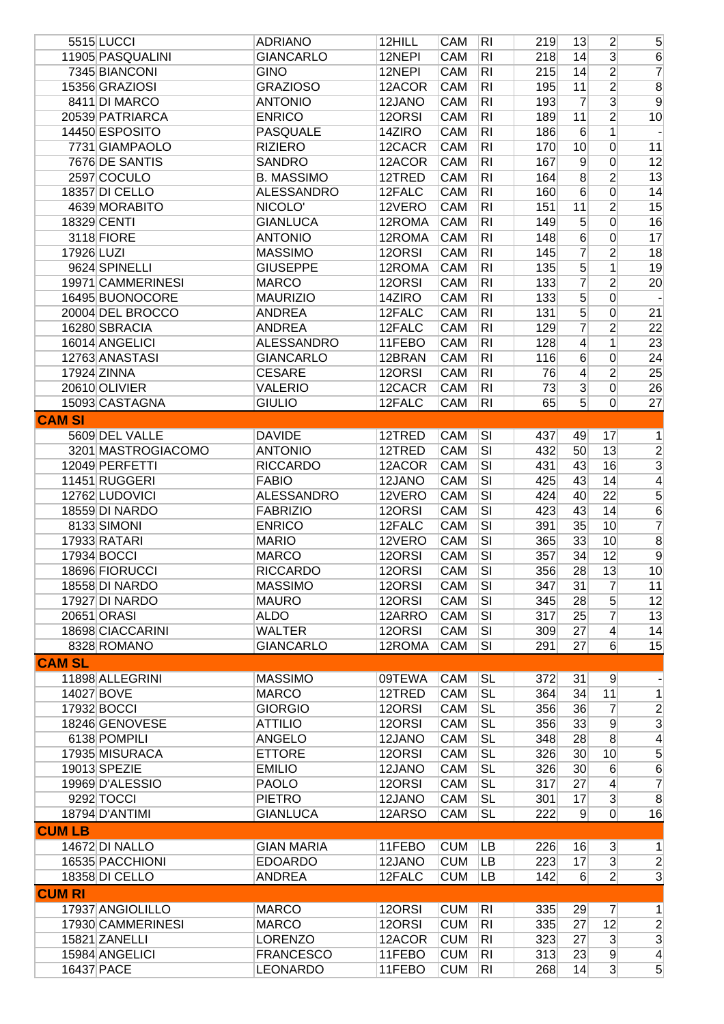|               | 5515 LUCCI                   | <b>ADRIANO</b>               | 12HILL           | CAM                      | R <sub>l</sub>                   | 219        | 13               | $\overline{2}$ | $5\overline{)}$ |
|---------------|------------------------------|------------------------------|------------------|--------------------------|----------------------------------|------------|------------------|----------------|-----------------|
|               | 11905 PASQUALINI             | <b>GIANCARLO</b>             | 12NEPI           | <b>CAM</b>               | R <sub>l</sub>                   | 218        | 14               | $\overline{3}$ | $6\,$           |
|               | 7345 BIANCONI                | <b>GINO</b>                  | 12NEPI           | <b>CAM</b>               | R <sub>l</sub>                   | 215        | 14               | $\overline{2}$ | $\overline{7}$  |
|               | 15356 GRAZIOSI               | <b>GRAZIOSO</b>              | 12ACOR           | <b>CAM</b>               | R <sub>l</sub>                   | 195        | 11               | $\overline{2}$ | $\overline{8}$  |
|               | 8411 DI MARCO                | <b>ANTONIO</b>               | 12JANO           | <b>CAM</b>               | R <sub>l</sub>                   | 193        | 7                | $\overline{3}$ | $\overline{9}$  |
|               | 20539 PATRIARCA              | <b>ENRICO</b>                | 12ORSI           | <b>CAM</b>               | R <sub>l</sub>                   | 189        | 11               | $\overline{2}$ | 10              |
|               | 14450 ESPOSITO               | <b>PASQUALE</b>              | 14ZIRO           | <b>CAM</b>               | R <sub>l</sub>                   | 186        | $6 \overline{6}$ | 1              |                 |
|               | 7731 GIAMPAOLO               | <b>RIZIERO</b>               | 12CACR           | CAM                      | R <sub>l</sub>                   | 170        | 10               | $\overline{0}$ | 11              |
|               | 7676 DE SANTIS               | <b>SANDRO</b>                | 12ACOR           | <b>CAM</b>               | RI                               | 167        | $\overline{9}$   | $\overline{0}$ | 12              |
|               | 2597 COCULO                  | <b>B. MASSIMO</b>            | 12TRED           | CAM                      | R <sub>l</sub>                   | 164        | 8                | $\overline{2}$ | 13              |
|               | 18357 DI CELLO               | <b>ALESSANDRO</b>            | 12FALC           | CAM                      | RI                               | 160        | 6                | 0              | 14              |
|               | 4639 MORABITO                | NICOLO'                      | 12VERO           | <b>CAM</b>               | RI                               | 151        | 11               | $\overline{2}$ | 15              |
|               | 18329 CENTI                  | <b>GIANLUCA</b>              | 12ROMA           | <b>CAM</b>               | RI                               | 149        | 5                | $\overline{0}$ | 16              |
|               | 3118 FIORE                   | <b>ANTONIO</b>               | 12ROMA           | CAM                      | RI                               | 148        | 6                | $\overline{0}$ | 17              |
| 17926 LUZI    |                              | <b>MASSIMO</b>               | 12ORSI           | CAM                      | RI                               | 145        | 7                | $\overline{2}$ | 18              |
|               | 9624 SPINELLI                | <b>GIUSEPPE</b>              | 12ROMA           | <b>CAM</b>               | RI                               | 135        | 5                | 1              | 19              |
|               | 19971 CAMMERINESI            |                              |                  |                          |                                  |            |                  |                |                 |
|               |                              | <b>MARCO</b>                 | 12ORSI           | <b>CAM</b>               | RI                               | 133        | 7                | $\overline{2}$ | 20              |
|               | 16495 BUONOCORE              | <b>MAURIZIO</b>              | 14ZIRO           | <b>CAM</b>               | RI                               | 133        | 5                | $\overline{0}$ |                 |
|               | 20004 DEL BROCCO             | <b>ANDREA</b>                | 12FALC           | <b>CAM</b>               | RI                               | 131        | 5                | $\overline{0}$ | 21              |
|               | 16280 SBRACIA                | <b>ANDREA</b>                | 12FALC           | CAM                      | R <sub>l</sub>                   | 129        | 7                | $\overline{2}$ | 22              |
|               | 16014 ANGELICI               | <b>ALESSANDRO</b>            | 11FEBO           | <b>CAM</b>               | R <sub>l</sub>                   | 128        | $\overline{4}$   | 1              | 23              |
|               | 12763 ANASTASI               | <b>GIANCARLO</b>             | 12BRAN           | CAM                      | R <sub>l</sub>                   | 116        | 6                | 0              | 24              |
|               | 17924 ZINNA                  | <b>CESARE</b>                | 12ORSI           | CAM                      | R <sub>l</sub>                   | 76         | $\vert 4 \vert$  | $\overline{2}$ | 25              |
|               | 20610 OLIVIER                | <b>VALERIO</b>               | 12CACR           | CAM                      | R <sub>l</sub>                   | 73         | $\overline{3}$   | $\overline{0}$ | 26              |
|               | 15093 CASTAGNA               | <b>GIULIO</b>                | 12FALC           | CAM                      | RI                               | 65         | 5                | $\overline{0}$ | 27              |
| <b>CAM SI</b> |                              |                              |                  |                          |                                  |            |                  |                |                 |
|               | 5609 DEL VALLE               | <b>DAVIDE</b>                | 12TRED           | CAM                      | $\overline{\mathsf{SI}}$         | 437        | 49               | 17             | 1               |
|               | 3201 MASTROGIACOMO           | <b>ANTONIO</b>               | 12TRED           | <b>CAM</b>               | $\overline{\mathsf{SI}}$         | 432        | 50               | 13             |                 |
|               | 12049 PERFETTI               | <b>RICCARDO</b>              | 12ACOR           | <b>CAM</b>               | $\overline{\mathsf{SI}}$         | 431        | 43               | 16             | $\frac{2}{3}$   |
|               | 11451 RUGGERI                | <b>FABIO</b>                 | 12JANO           | <b>CAM</b>               | $\overline{\mathsf{SI}}$         | 425        | 43               | 14             | $\overline{4}$  |
|               | 12762 LUDOVICI               | <b>ALESSANDRO</b>            | 12VERO           | <b>CAM</b>               | $\overline{\mathsf{SI}}$         | 424        | 40               | 22             | 5               |
|               | 18559 DI NARDO               | <b>FABRIZIO</b>              | 12ORSI           | <b>CAM</b>               | $\overline{\mathsf{SI}}$         | 423        | 43               | 14             | $\overline{6}$  |
|               | 8133 SIMONI                  | <b>ENRICO</b>                | 12FALC           | CAM                      | $\overline{\mathsf{SI}}$         | 391        | 35               | 10             | $\overline{7}$  |
|               | 17933 RATARI                 | <b>MARIO</b>                 | 12VERO           | CAM                      | SI                               | 365        | 33               | 10             | $\overline{8}$  |
|               | 17934 BOCCI                  | <b>MARCO</b>                 | 12ORSI           | CAM                      | SI                               | 357        | 34               | 12             | $\overline{9}$  |
|               | 18696 FIORUCCI               | <b>RICCARDO</b>              | 12ORSI           | CAM                      | $\overline{\mathsf{SI}}$         | 356        | 28               | 13             | 10              |
|               | 18558 DI NARDO               | <b>MASSIMO</b>               | 12ORSI           | <b>CAM</b>               | SI                               | 347        | 31               | $\overline{7}$ | 11              |
|               | 17927 DI NARDO               | <b>MAURO</b>                 | 12ORSI           | CAM                      | $\overline{\mathsf{SI}}$         | 345        | 28               | 5              | 12              |
|               | 20651 ORASI                  | <b>ALDO</b>                  | 12ARRO           | <b>CAM</b>               | $\overline{\mathsf{SI}}$         | 317        | 25               | $\overline{7}$ | 13              |
|               | 18698 CIACCARINI             | <b>WALTER</b>                | 12ORSI           | <b>CAM</b>               | $\overline{\mathsf{SI}}$         | 309        | 27               | $\overline{4}$ | 14              |
|               | 8328 ROMANO                  | <b>GIANCARLO</b>             |                  | CAM                      | $\overline{\mathsf{SI}}$         | 291        | 27               | 6              | 15              |
|               |                              |                              | 12ROMA           |                          |                                  |            |                  |                |                 |
| <b>CAM SL</b> |                              |                              |                  |                          |                                  |            |                  |                |                 |
|               | 11898 ALLEGRINI              | <b>MASSIMO</b>               | 09TEWA           | CAM                      | <b>SL</b>                        | 372        | 31               | $\overline{9}$ |                 |
|               | 14027 BOVE                   | <b>MARCO</b>                 | 12TRED           | CAM                      | <b>SL</b>                        | 364        | 34               | 11             | 1               |
|               | 17932 BOCCI                  | <b>GIORGIO</b>               | 12ORSI           | CAM                      | <b>SL</b>                        | 356        | 36               | $\overline{7}$ | $\frac{2}{3}$   |
|               | 18246 GENOVESE               | <b>ATTILIO</b>               | 12ORSI           | CAM                      | <b>SL</b>                        | 356        | 33               | 9              |                 |
|               | 6138 POMPILI                 | <b>ANGELO</b>                | 12JANO           | CAM                      | <b>SL</b>                        | 348        | 28               | 8              | $\vert 4 \vert$ |
|               | 17935 MISURACA               | <b>ETTORE</b>                | 12ORSI           | CAM                      | <b>SL</b>                        | 326        | 30 <sup>°</sup>  | 10             | $\overline{5}$  |
|               | 19013 SPEZIE                 | <b>EMILIO</b>                | 12JANO           | CAM                      | <b>SL</b>                        | 326        | 30 <sup>°</sup>  | 6              | 6               |
|               | 19969 D'ALESSIO              | <b>PAOLO</b>                 | 12ORSI           | CAM                      | <b>SL</b>                        | 317        | 27               | $\overline{4}$ | $\overline{7}$  |
|               | 9292 TOCCI                   | <b>PIETRO</b>                | 12JANO           | CAM                      | <b>SL</b>                        | 301        | 17               | $\overline{3}$ | $\overline{8}$  |
|               | 18794 D'ANTIMI               | <b>GIANLUCA</b>              | 12ARSO           | CAM                      | <b>SL</b>                        | 222        | 9                | $\overline{0}$ | 16              |
| <b>CUM LB</b> |                              |                              |                  |                          |                                  |            |                  |                |                 |
|               | 14672 DI NALLO               | <b>GIAN MARIA</b>            | 11FEBO           | <b>CUM</b>               | LB                               | 226        | 16               | $\overline{3}$ | $\vert$         |
|               | 16535 PACCHIONI              | <b>EDOARDO</b>               | 12JANO           | <b>CUM</b>               | LB                               | 223        | 17               | $\overline{3}$ | $\overline{2}$  |
|               | 18358 DI CELLO               | <b>ANDREA</b>                | 12FALC           | <b>CUM</b>               | LB                               | 142        | $6 \mid$         | $\overline{2}$ | $\overline{3}$  |
| <b>CUM RI</b> |                              |                              |                  |                          |                                  |            |                  |                |                 |
|               | 17937 ANGIOLILLO             | <b>MARCO</b>                 | 12ORSI           | <b>CUM</b>               | R <sub>l</sub>                   | 335        | 29               | $\overline{7}$ | $\mathbf{1}$    |
|               | 17930 CAMMERINESI            | <b>MARCO</b>                 | 12ORSI           | <b>CUM</b>               | R <sub>l</sub>                   | 335        | 27               | 12             |                 |
|               | 15821 ZANELLI                | <b>LORENZO</b>               | 12ACOR           | <b>CUM</b>               | R <sub>l</sub>                   | 323        | 27               | $\overline{3}$ | $\overline{2}$  |
|               |                              |                              |                  |                          |                                  |            |                  | $\overline{9}$ | $\frac{3}{4}$   |
|               | 15984 ANGELICI<br>16437 PACE | <b>FRANCESCO</b><br>LEONARDO | 11FEBO<br>11FEBO | <b>CUM</b><br><b>CUM</b> | R <sub>l</sub><br>R <sub>l</sub> | 313<br>268 | 23<br> 14        | $\overline{3}$ | $\overline{5}$  |
|               |                              |                              |                  |                          |                                  |            |                  |                |                 |